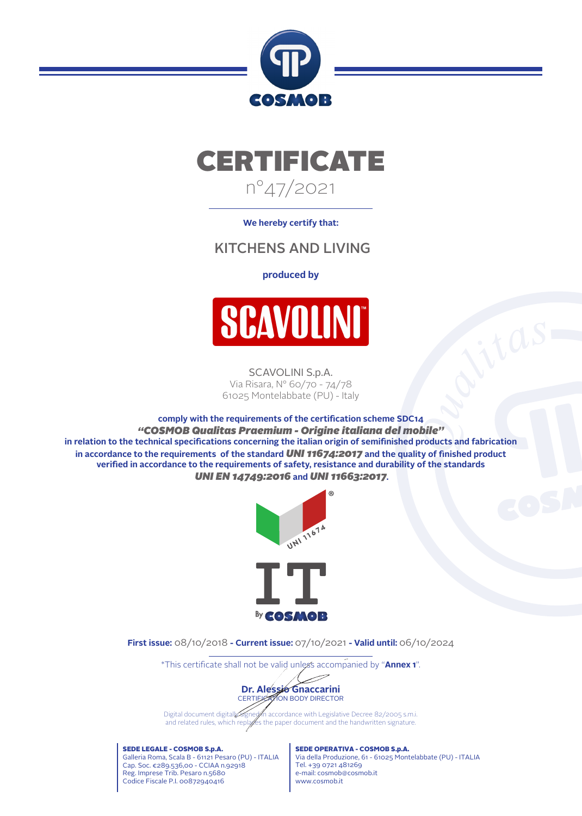



**We hereby certify that:**

## KITCHENS AND LIVING

#### **produced by**



SCAVOLINI S.p.A. Via Risara, N° 60/70 - 74/78 61025 Montelabbate (PU) - Italy

**comply with the requirements of the certication scheme SDC14** *"COSMOB Qualitas Praemium - Origine italiana del mobile"* in relation to the technical specifications concerning the italian origin of semifinished products and fabrication in accordance to the requirements of the standard *UNI 11674:2017* and the quality of finished product verified in accordance to the requirements of safety, resistance and durability of the standards *UNI EN 14749:2016* **and** *UNI 11663:2017***.**



**First issue:** 08/10/2018 **- Current issue:** 07/10/2021 **- Valid until:** 06/10/2024

\*This certificate shall not be valid unless accompanied by "**Annex 1**".



Digital document digitally signet in accordance with Legislative Decree 82/2005 s.m.i. and related rules, which replaces the paper document and the handwritten signature.

SEDE LEGALE - COSMOB S.p.A. Galleria Roma, Scala B - 61121 Pesaro (PU) - ITALIA Cap. Soc. €289.536,00 - CCIAA n.92918 Reg. Imprese Trib. Pesaro n.5680 Codice Fiscale P.I. 00872940416

SEDE OPERATIVA - COSMOB S.p.A. Via della Produzione, 61 - 61025 Montelabbate (PU) - ITALIA Tel. +39 0721 481269 e-mail: cosmob@cosmob.it www.cosmob.it